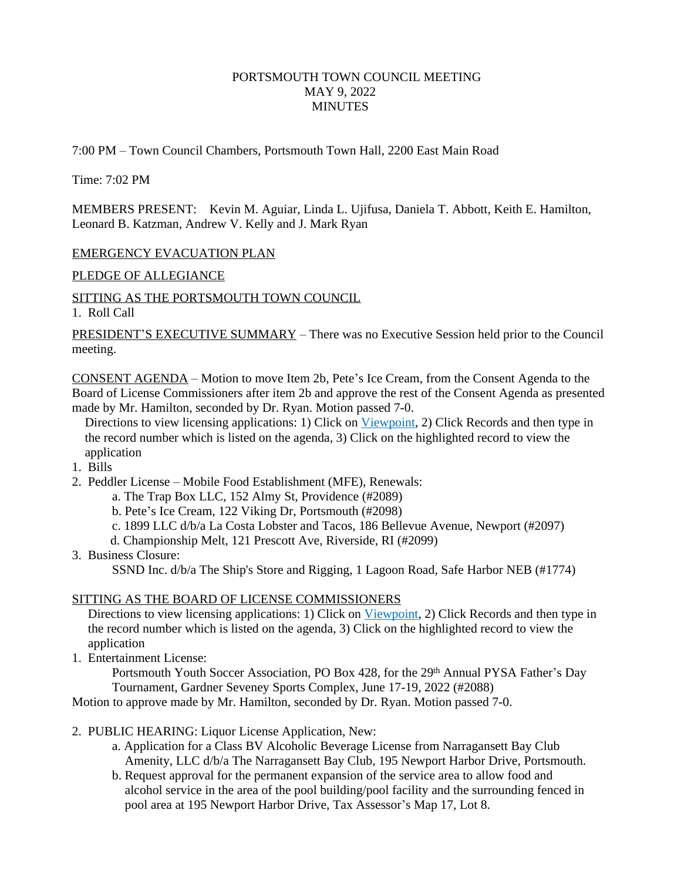# PORTSMOUTH TOWN COUNCIL MEETING MAY 9, 2022 **MINUTES**

7:00 PM – Town Council Chambers, Portsmouth Town Hall, 2200 East Main Road

Time: 7:02 PM

MEMBERS PRESENT: Kevin M. Aguiar, Linda L. Ujifusa, Daniela T. Abbott, Keith E. Hamilton, Leonard B. Katzman, Andrew V. Kelly and J. Mark Ryan

#### EMERGENCY EVACUATION PLAN

PLEDGE OF ALLEGIANCE

SITTING AS THE PORTSMOUTH TOWN COUNCIL

1. Roll Call

PRESIDENT'S EXECUTIVE SUMMARY – There was no Executive Session held prior to the Council meeting.

CONSENT AGENDA – Motion to move Item 2b, Pete's Ice Cream, from the Consent Agenda to the Board of License Commissioners after item 2b and approve the rest of the Consent Agenda as presented made by Mr. Hamilton, seconded by Dr. Ryan. Motion passed 7-0.

Directions to view licensing applications: 1) Click on Viewpoint, 2) Click Records and then type in the record number which is listed on the agenda, 3) Click on the highlighted record to view the application

- 1. Bills
- 2. Peddler License Mobile Food Establishment (MFE), Renewals:
	- a. The Trap Box LLC, 152 Almy St, Providence (#2089)
	- b. Pete's Ice Cream, 122 Viking Dr, Portsmouth (#2098)
	- c. 1899 LLC d/b/a La Costa Lobster and Tacos, 186 Bellevue Avenue, Newport (#2097)
	- d. Championship Melt, 121 Prescott Ave, Riverside, RI (#2099)
- 3. Business Closure:

SSND Inc. d/b/a The Ship's Store and Rigging, 1 Lagoon Road, Safe Harbor NEB (#1774)

# SITTING AS THE BOARD OF LICENSE COMMISSIONERS

Directions to view licensing applications: 1) Click on Viewpoint, 2) Click Records and then type in the record number which is listed on the agenda, 3) Click on the highlighted record to view the application

1. Entertainment License:

Portsmouth Youth Soccer Association, PO Box 428, for the 29<sup>th</sup> Annual PYSA Father's Day Tournament, Gardner Seveney Sports Complex, June 17-19, 2022 (#2088)

Motion to approve made by Mr. Hamilton, seconded by Dr. Ryan. Motion passed 7-0.

- 2. PUBLIC HEARING: Liquor License Application, New:
	- a. Application for a Class BV Alcoholic Beverage License from Narragansett Bay Club Amenity, LLC d/b/a The Narragansett Bay Club, 195 Newport Harbor Drive, Portsmouth.
	- b. Request approval for the permanent expansion of the service area to allow food and alcohol service in the area of the pool building/pool facility and the surrounding fenced in pool area at 195 Newport Harbor Drive, Tax Assessor's Map 17, Lot 8.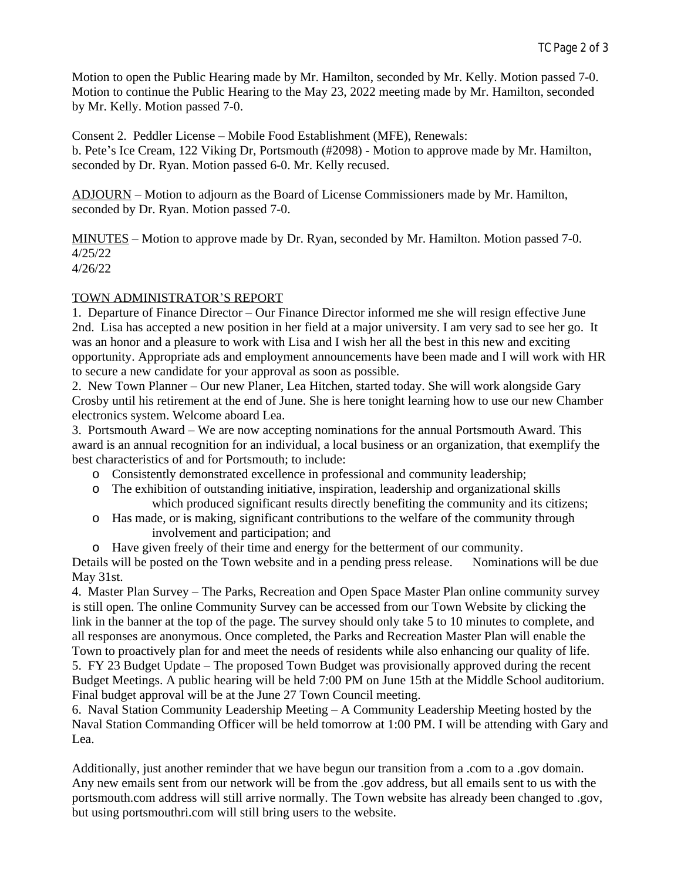Motion to open the Public Hearing made by Mr. Hamilton, seconded by Mr. Kelly. Motion passed 7-0. Motion to continue the Public Hearing to the May 23, 2022 meeting made by Mr. Hamilton, seconded by Mr. Kelly. Motion passed 7-0.

Consent 2. Peddler License – Mobile Food Establishment (MFE), Renewals: b. Pete's Ice Cream, 122 Viking Dr, Portsmouth (#2098) - Motion to approve made by Mr. Hamilton, seconded by Dr. Ryan. Motion passed 6-0. Mr. Kelly recused.

ADJOURN – Motion to adjourn as the Board of License Commissioners made by Mr. Hamilton, seconded by Dr. Ryan. Motion passed 7-0.

MINUTES – Motion to approve made by Dr. Ryan, seconded by Mr. Hamilton. Motion passed 7-0. 4/25/22 4/26/22

# TOWN ADMINISTRATOR'S REPORT

1. Departure of Finance Director – Our Finance Director informed me she will resign effective June 2nd. Lisa has accepted a new position in her field at a major university. I am very sad to see her go. It was an honor and a pleasure to work with Lisa and I wish her all the best in this new and exciting opportunity. Appropriate ads and employment announcements have been made and I will work with HR to secure a new candidate for your approval as soon as possible.

2. New Town Planner – Our new Planer, Lea Hitchen, started today. She will work alongside Gary Crosby until his retirement at the end of June. She is here tonight learning how to use our new Chamber electronics system. Welcome aboard Lea.

3. Portsmouth Award – We are now accepting nominations for the annual Portsmouth Award. This award is an annual recognition for an individual, a local business or an organization, that exemplify the best characteristics of and for Portsmouth; to include:

- o Consistently demonstrated excellence in professional and community leadership;
- o The exhibition of outstanding initiative, inspiration, leadership and organizational skills which produced significant results directly benefiting the community and its citizens;
- o Has made, or is making, significant contributions to the welfare of the community through involvement and participation; and

o Have given freely of their time and energy for the betterment of our community. Details will be posted on the Town website and in a pending press release. Nominations will be due May 31st.

4. Master Plan Survey – The Parks, Recreation and Open Space Master Plan online community survey is still open. The online Community Survey can be accessed from our Town Website by clicking the link in the banner at the top of the page. The survey should only take 5 to 10 minutes to complete, and all responses are anonymous. Once completed, the Parks and Recreation Master Plan will enable the Town to proactively plan for and meet the needs of residents while also enhancing our quality of life. 5. FY 23 Budget Update – The proposed Town Budget was provisionally approved during the recent Budget Meetings. A public hearing will be held 7:00 PM on June 15th at the Middle School auditorium. Final budget approval will be at the June 27 Town Council meeting.

6. Naval Station Community Leadership Meeting – A Community Leadership Meeting hosted by the Naval Station Commanding Officer will be held tomorrow at 1:00 PM. I will be attending with Gary and Lea.

Additionally, just another reminder that we have begun our transition from a .com to a .gov domain. Any new emails sent from our network will be from the .gov address, but all emails sent to us with the portsmouth.com address will still arrive normally. The Town website has already been changed to .gov, but using portsmouthri.com will still bring users to the website.